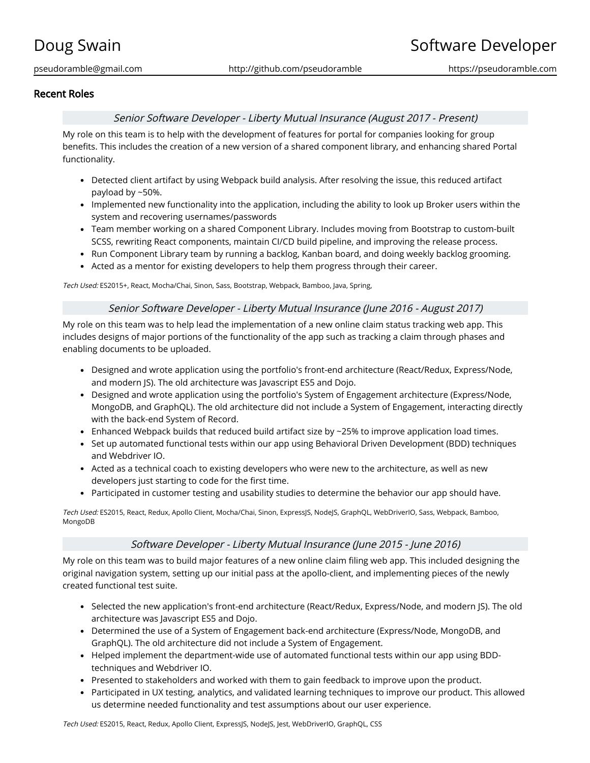# Recent Roles

## Senior Software Developer - Liberty Mutual Insurance (August 2017 - Present)

My role on this team is to help with the development of features for portal for companies looking for group benefits. This includes the creation of a new version of a shared component library, and enhancing shared Portal functionality.

- Detected client artifact by using Webpack build analysis. After resolving the issue, this reduced artifact payload by ~50%.
- Implemented new functionality into the application, including the ability to look up Broker users within the system and recovering usernames/passwords
- Team member working on a shared Component Library. Includes moving from Bootstrap to custom-built SCSS, rewriting React components, maintain CI/CD build pipeline, and improving the release process.
- Run Component Library team by running a backlog, Kanban board, and doing weekly backlog grooming.
- Acted as a mentor for existing developers to help them progress through their career.

Tech Used: ES2015+, React, Mocha/Chai, Sinon, Sass, Bootstrap, Webpack, Bamboo, Java, Spring,

### Senior Software Developer - Liberty Mutual Insurance (June 2016 - August 2017)

My role on this team was to help lead the implementation of a new online claim status tracking web app. This includes designs of major portions of the functionality of the app such as tracking a claim through phases and enabling documents to be uploaded.

- Designed and wrote application using the portfolio's front-end architecture (React/Redux, Express/Node, and modern JS). The old architecture was Javascript ES5 and Dojo.
- Designed and wrote application using the portfolio's System of Engagement architecture (Express/Node, MongoDB, and GraphQL). The old architecture did not include a System of Engagement, interacting directly with the back-end System of Record.
- **Enhanced Webpack builds that reduced build artifact size by**  $\sim$  **25% to improve application load times.**
- Set up automated functional tests within our app using Behavioral Driven Development (BDD) techniques and Webdriver IO.
- Acted as a technical coach to existing developers who were new to the architecture, as well as new developers just starting to code for the first time.
- Participated in customer testing and usability studies to determine the behavior our app should have.

Tech Used: ES2015, React, Redux, Apollo Client, Mocha/Chai, Sinon, ExpressJS, NodeJS, GraphQL, WebDriverIO, Sass, Webpack, Bamboo, MongoDB

## Software Developer - Liberty Mutual Insurance (June 2015 - June 2016)

My role on this team was to build major features of a new online claim filing web app. This included designing the original navigation system, setting up our initial pass at the apollo-client, and implementing pieces of the newly created functional test suite.

- Selected the new application's front-end architecture (React/Redux, Express/Node, and modern JS). The old architecture was Javascript ES5 and Dojo.
- Determined the use of a System of Engagement back-end architecture (Express/Node, MongoDB, and GraphQL). The old architecture did not include a System of Engagement.
- Helped implement the department-wide use of automated functional tests within our app using BDDtechniques and Webdriver IO.
- Presented to stakeholders and worked with them to gain feedback to improve upon the product.
- Participated in UX testing, analytics, and validated learning techniques to improve our product. This allowed us determine needed functionality and test assumptions about our user experience.